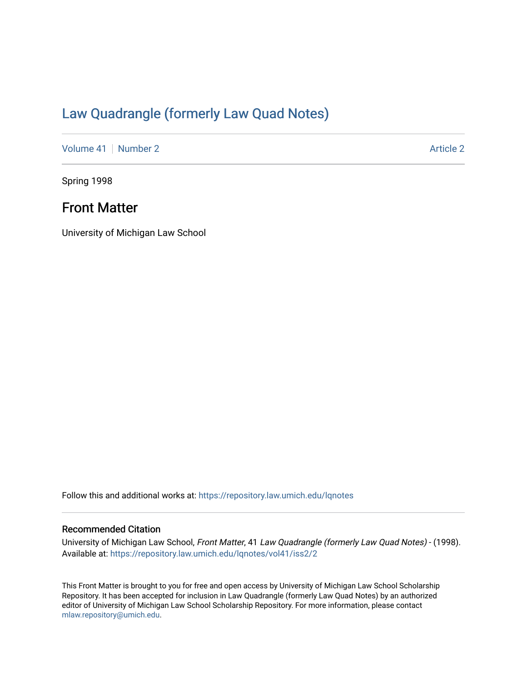# [Law Quadrangle \(formerly Law Quad Notes\)](https://repository.law.umich.edu/lqnotes)

[Volume 41](https://repository.law.umich.edu/lqnotes/vol41) [Number 2](https://repository.law.umich.edu/lqnotes/vol41/iss2) Article 2

Spring 1998

# Front Matter

University of Michigan Law School

Follow this and additional works at: [https://repository.law.umich.edu/lqnotes](https://repository.law.umich.edu/lqnotes?utm_source=repository.law.umich.edu%2Flqnotes%2Fvol41%2Fiss2%2F2&utm_medium=PDF&utm_campaign=PDFCoverPages) 

## Recommended Citation

University of Michigan Law School, Front Matter, 41 Law Quadrangle (formerly Law Quad Notes) - (1998). Available at: [https://repository.law.umich.edu/lqnotes/vol41/iss2/2](https://repository.law.umich.edu/lqnotes/vol41/iss2/2?utm_source=repository.law.umich.edu%2Flqnotes%2Fvol41%2Fiss2%2F2&utm_medium=PDF&utm_campaign=PDFCoverPages) 

This Front Matter is brought to you for free and open access by University of Michigan Law School Scholarship Repository. It has been accepted for inclusion in Law Quadrangle (formerly Law Quad Notes) by an authorized editor of University of Michigan Law School Scholarship Repository. For more information, please contact [mlaw.repository@umich.edu.](mailto:mlaw.repository@umich.edu)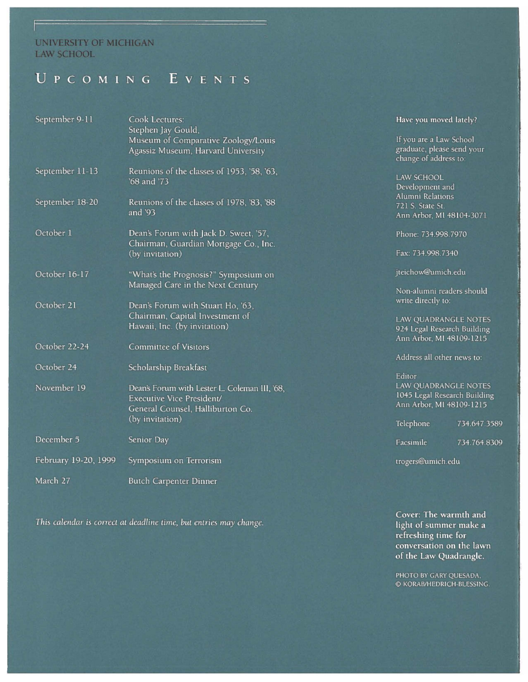## **UNIVERSITY OF MICHIGAN** LAW SCHOOL

# UPCOMING EVENTS

| September 9-11       | Cook Lectures:<br>Stephen Jay Gould,          | Have you        |
|----------------------|-----------------------------------------------|-----------------|
|                      | Museum of Comparative Zoology/Louis           | If you are:     |
|                      |                                               | graduate, p     |
|                      | Agassiz Museum, Harvard University            | change of       |
|                      |                                               |                 |
| September 11-13      | Reunions of the classes of 1953, '58, '63,    | <b>LAW SCHO</b> |
|                      | '68 and '73                                   |                 |
|                      |                                               | Developm        |
| September 18-20      | Reunions of the classes of 1978, '83, '88     | Alumni Re       |
|                      | and $93$                                      | 721 S. Stat     |
|                      |                                               | Ann Arbor       |
| October 1            | Dean's Forum with Jack D. Sweet, '57,         | Phone: 734      |
|                      | Chairman, Guardian Mortgage Co., Inc.         |                 |
|                      |                                               | Fax: 734.9      |
|                      | (by invitation)                               |                 |
| October 16-17        | "What's the Prognosis?" Symposium on          | jteichow@       |
|                      | Managed Care in the Next Century              |                 |
|                      |                                               | Non-alum        |
|                      |                                               | write direc     |
| October 21           | Dean's Forum with Stuart Ho, '63,             |                 |
|                      | Chairman, Capital Investment of               | <b>LAW QUAI</b> |
|                      | Hawaii, Inc. (by invitation)                  | 924 Legal       |
|                      |                                               | Ann Arbor       |
| October 22-24        | Committee of Visitors                         |                 |
|                      |                                               | Address al      |
| October 24           | Scholarship Breakfast                         |                 |
|                      |                                               | Editor          |
| November 19          |                                               | <b>LAW QUAI</b> |
|                      | Dean's Forum with Lester L. Coleman III, '68, | 1045 Lega       |
|                      | Executive Vice President/                     | Ann Arbor       |
|                      | General Counsel, Halliburton Co.              |                 |
|                      | (by invitation)                               | Telephone       |
|                      |                                               |                 |
| December 5           | Senior Day                                    | Facsimile       |
|                      |                                               |                 |
| February 19-20, 1999 | Symposium on Terrorism                        | trogers@ui      |
| March 27             | Butch Carpenter Dinner                        |                 |
|                      |                                               |                 |

*This calendar is correct at deadline time, but entries may* change.

moved lately?

a Law School blease send your <sub>address to:</sub>

 $\overline{\text{COL}}$ ent and lations e St. MI 48104-3071

4.998.7970

98.7340

umich.edu

ni readers should tly to:

DRANGLE NOTES Research Building MI 48109-1215

other news to:

DRANGLE NOTES Research Building MI 48109-1215

734.647.3589

734. 764.8309

mich.edu

**Cover: The warmth and light of summer make a refreshing time for conversation on the lawn of the Law Quadrangle.** 

PHOTO BY GARY QUESADA, © KORAB/HEDRICH-BLESSING.